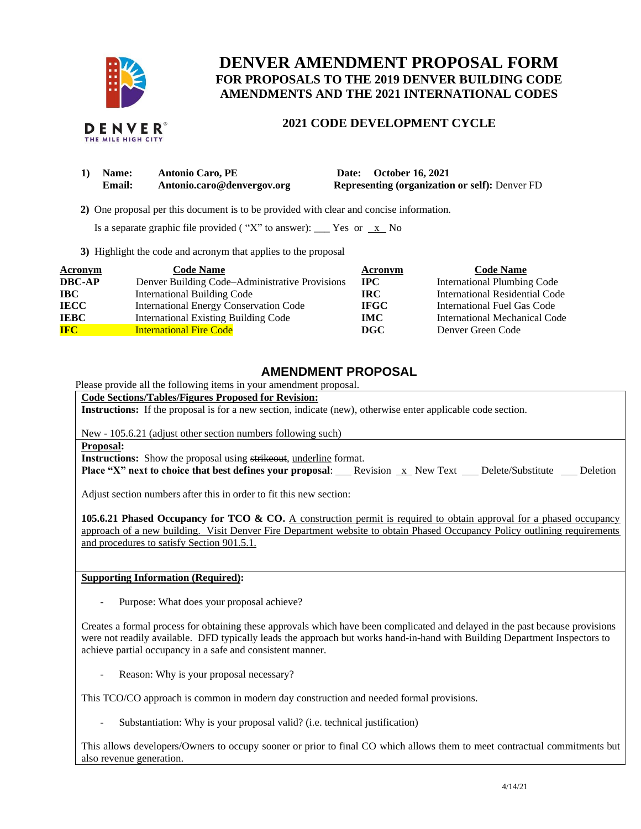

## **DENVER AMENDMENT PROPOSAL FORM FOR PROPOSALS TO THE 2019 DENVER BUILDING CODE AMENDMENTS AND THE 2021 INTERNATIONAL CODES**

## **2021 CODE DEVELOPMENT CYCLE**

| 1) Name: | <b>Antonio Caro, PE</b>    | Date: October 16, 2021                                |
|----------|----------------------------|-------------------------------------------------------|
| Email:   | Antonio.caro@denvergov.org | <b>Representing (organization or self): Denver FD</b> |

 **2)** One proposal per this document is to be provided with clear and concise information.

Is a separate graphic file provided ("X" to answer): \_\_\_ Yes or  $\overline{x}$  No

**3)** Highlight the code and acronym that applies to the proposal

| <b>Acronym</b> | <b>Code Name</b>                               | Acronym      | <b>Code Name</b>                   |
|----------------|------------------------------------------------|--------------|------------------------------------|
| <b>DBC-AP</b>  | Denver Building Code–Administrative Provisions | $_{\rm IPC}$ | <b>International Plumbing Code</b> |
| <b>IBC</b>     | <b>International Building Code</b>             | IRC.         | International Residential Code     |
| <b>IECC</b>    | International Energy Conservation Code         | <b>IFGC</b>  | International Fuel Gas Code        |
| <b>IEBC</b>    | <b>International Existing Building Code</b>    | <b>IMC</b>   | International Mechanical Code      |
| <b>IFC</b>     | <b>International Fire Code</b>                 | <b>DGC</b>   | Denver Green Code                  |

## **AMENDMENT PROPOSAL**

Please provide all the following items in your amendment proposal.

**Code Sections/Tables/Figures Proposed for Revision:**

**Instructions:** If the proposal is for a new section, indicate (new), otherwise enter applicable code section.

New - 105.6.21 (adjust other section numbers following such)

**Proposal:**

**Instructions:** Show the proposal using strikeout, underline format.

**Place "X" next to choice that best defines your proposal:** Revision x New Text \_ Delete/Substitute \_ Deletion

Adjust section numbers after this in order to fit this new section:

**105.6.21 Phased Occupancy for TCO & CO.** A construction permit is required to obtain approval for a phased occupancy approach of a new building. Visit Denver Fire Department website to obtain Phased Occupancy Policy outlining requirements and procedures to satisfy Section 901.5.1.

**Supporting Information (Required):** 

Purpose: What does your proposal achieve?

Creates a formal process for obtaining these approvals which have been complicated and delayed in the past because provisions were not readily available. DFD typically leads the approach but works hand-in-hand with Building Department Inspectors to achieve partial occupancy in a safe and consistent manner.

Reason: Why is your proposal necessary?

This TCO/CO approach is common in modern day construction and needed formal provisions.

Substantiation: Why is your proposal valid? (i.e. technical justification)

This allows developers/Owners to occupy sooner or prior to final CO which allows them to meet contractual commitments but also revenue generation.